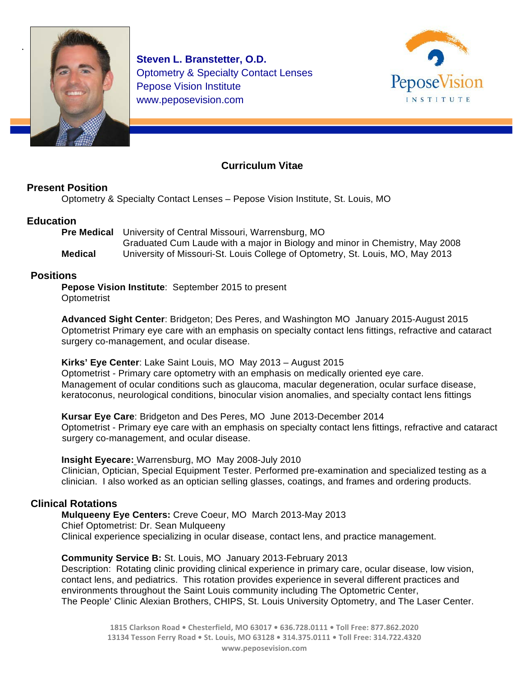

**Steven L. Branstetter, O.D.** Optometry & Specialty Contact Lenses Pepose Vision Institute www.peposevision.com



# **Curriculum Vitae**

## **Present Position**

Optometry & Specialty Contact Lenses – Pepose Vision Institute, St. Louis, MO

## **Education**

**Pre Medical** University of Central Missouri, Warrensburg, MO Graduated Cum Laude with a major in Biology and minor in Chemistry, May 2008 **Medical** University of Missouri-St. Louis College of Optometry, St. Louis, MO, May 2013

## **Positions**

**Pepose Vision Institute**: September 2015 to present **Optometrist** 

**Advanced Sight Center**: Bridgeton; Des Peres, and Washington MO January 2015-August 2015 Optometrist Primary eye care with an emphasis on specialty contact lens fittings, refractive and cataract surgery co-management, and ocular disease.

**Kirks' Eye Center**: Lake Saint Louis, MO May 2013 – August 2015 Optometrist - Primary care optometry with an emphasis on medically oriented eye care. Management of ocular conditions such as glaucoma, macular degeneration, ocular surface disease, keratoconus, neurological conditions, binocular vision anomalies, and specialty contact lens fittings

**Kursar Eye Care**: Bridgeton and Des Peres, MO June 2013-December 2014 Optometrist - Primary eye care with an emphasis on specialty contact lens fittings, refractive and cataract surgery co-management, and ocular disease.

### **Insight Eyecare:** Warrensburg, MO May 2008-July 2010

Clinician, Optician, Special Equipment Tester. Performed pre-examination and specialized testing as a clinician. I also worked as an optician selling glasses, coatings, and frames and ordering products.

# **Clinical Rotations**

**Mulqueeny Eye Centers:** Creve Coeur, MO March 2013-May 2013 Chief Optometrist: Dr. Sean Mulqueeny Clinical experience specializing in ocular disease, contact lens, and practice management.

### **Community Service B:** St. Louis, MOJanuary 2013-February 2013

Description: Rotating clinic providing clinical experience in primary care, ocular disease, low vision, contact lens, and pediatrics. This rotation provides experience in several different practices and environments throughout the Saint Louis community including The Optometric Center, The People' Clinic Alexian Brothers, CHIPS, St. Louis University Optometry, and The Laser Center.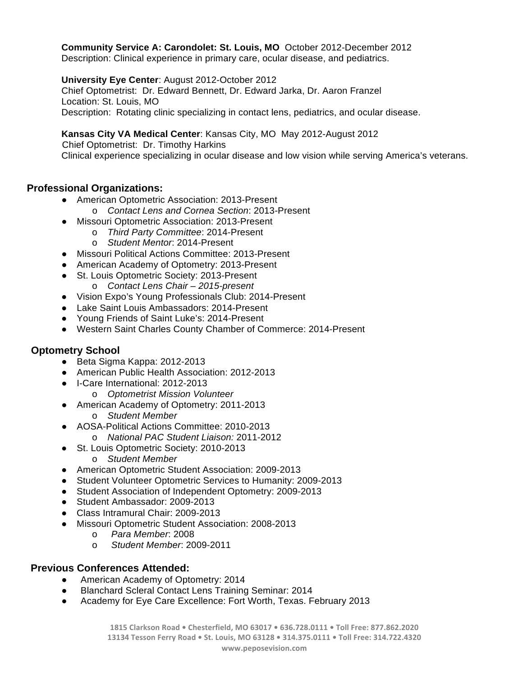**Community Service A: Carondolet: St. Louis, MO** October 2012-December 2012 Description: Clinical experience in primary care, ocular disease, and pediatrics.

**University Eye Center**: August 2012-October 2012

Chief Optometrist: Dr. Edward Bennett, Dr. Edward Jarka, Dr. Aaron Franzel Location: St. Louis, MO Description: Rotating clinic specializing in contact lens, pediatrics, and ocular disease.

## **Kansas City VA Medical Center**: Kansas City, MO May 2012-August 2012

 Chief Optometrist: Dr. Timothy Harkins Clinical experience specializing in ocular disease and low vision while serving America's veterans.

# **Professional Organizations:**

- American Optometric Association: 2013-Present
	- o *Contact Lens and Cornea Section*: 2013-Present
- Missouri Optometric Association: 2013-Present
	- o *Third Party Committee*: 2014-Present
	- o *Student Mentor*: 2014-Present
- Missouri Political Actions Committee: 2013-Present
- American Academy of Optometry: 2013-Present
- St. Louis Optometric Society: 2013-Present
	- o *Contact Lens Chair – 2015-present*
- Vision Expo's Young Professionals Club: 2014-Present
- Lake Saint Louis Ambassadors: 2014-Present
- Young Friends of Saint Luke's: 2014-Present
- Western Saint Charles County Chamber of Commerce: 2014-Present

### **Optometry School**

- Beta Sigma Kappa: 2012-2013
- American Public Health Association: 2012-2013
- I-Care International: 2012-2013
	- o *Optometrist Mission Volunteer*
- American Academy of Optometry: 2011-2013 o *Student Member*
- AOSA-Political Actions Committee: 2010-2013
	- o *National PAC Student Liaison:* 2011-2012
- St. Louis Optometric Society: 2010-2013 o *Student Member*
- American Optometric Student Association: 2009-2013
- Student Volunteer Optometric Services to Humanity: 2009-2013
- Student Association of Independent Optometry: 2009-2013
- Student Ambassador: 2009-2013
- Class Intramural Chair: 2009-2013
- Missouri Optometric Student Association: 2008-2013
	- o *Para Member*: 2008
	- o *Student Member*: 2009-2011

### **Previous Conferences Attended:**

- American Academy of Optometry: 2014
- **Blanchard Scleral Contact Lens Training Seminar: 2014**
- Academy for Eye Care Excellence: Fort Worth, Texas. February 2013